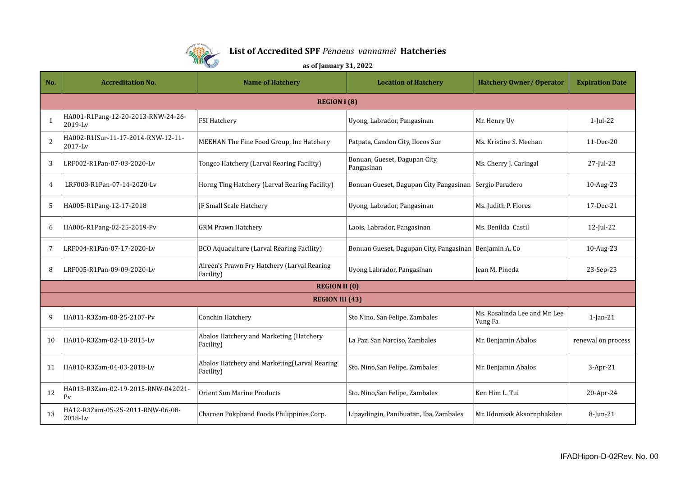

## **List of Accredited SPF** *Penaeus vannamei* **Hatcheries**

## **as of January 31, 2022**

| No.                    | <b>Accreditation No.</b>                             | <b>Name of Hatchery</b>                                   | <b>Location of Hatchery</b>                              | <b>Hatchery Owner/ Operator</b>          | <b>Expiration Date</b> |  |  |
|------------------------|------------------------------------------------------|-----------------------------------------------------------|----------------------------------------------------------|------------------------------------------|------------------------|--|--|
|                        | <b>REGION I (8)</b>                                  |                                                           |                                                          |                                          |                        |  |  |
| $\mathbf{1}$           | HA001-R1Pang-12-20-2013-RNW-24-26-<br>2019-Lv        | <b>FSI Hatchery</b>                                       | Uyong, Labrador, Pangasinan                              | Mr. Henry Uy                             | $1$ -Jul-22            |  |  |
| 2                      | HA002-R1ISur-11-17-2014-RNW-12-11-<br>$2017$ -Ly     | MEEHAN The Fine Food Group, Inc Hatchery                  | Patpata, Candon City, Ilocos Sur                         | Ms. Kristine S. Meehan                   | 11-Dec-20              |  |  |
| 3                      | LRF002-R1Pan-07-03-2020-Lv                           | Tongco Hatchery (Larval Rearing Facility)                 | Bonuan, Gueset, Dagupan City,<br>Pangasinan              | Ms. Cherry J. Caringal                   | 27-Jul-23              |  |  |
| 4                      | LRF003-R1Pan-07-14-2020-Lv                           | Horng Ting Hatchery (Larval Rearing Facility)             | Bonuan Gueset, Dagupan City Pangasinan                   | Sergio Paradero                          | 10-Aug-23              |  |  |
| 5                      | HA005-R1Pang-12-17-2018                              | JF Small Scale Hatchery                                   | Uyong, Labrador, Pangasinan                              | Ms. Judith P. Flores                     | 17-Dec-21              |  |  |
| 6                      | HA006-R1Pang-02-25-2019-Pv                           | <b>GRM Prawn Hatchery</b>                                 | Laois, Labrador, Pangasinan                              | Ms. Benilda Castil                       | $12$ -Jul-22           |  |  |
| 7                      | LRF004-R1Pan-07-17-2020-Lv                           | <b>BCO Aquaculture (Larval Rearing Facility)</b>          | Bonuan Gueset, Dagupan City, Pangasinan   Benjamin A. Co |                                          | 10-Aug-23              |  |  |
| 8                      | LRF005-R1Pan-09-09-2020-Lv                           | Aireen's Prawn Fry Hatchery (Larval Rearing<br>Facility)  | Uyong Labrador, Pangasinan                               | Iean M. Pineda                           | 23-Sep-23              |  |  |
| <b>REGION II (0)</b>   |                                                      |                                                           |                                                          |                                          |                        |  |  |
| <b>REGION III (43)</b> |                                                      |                                                           |                                                          |                                          |                        |  |  |
| 9                      | HA011-R3Zam-08-25-2107-Pv                            | Conchin Hatchery                                          | Sto Nino, San Felipe, Zambales                           | Ms. Rosalinda Lee and Mr. Lee<br>Yung Fa | $1$ -Jan- $21$         |  |  |
| 10                     | HA010-R3Zam-02-18-2015-Lv                            | Abalos Hatchery and Marketing (Hatchery<br>Facility)      | La Paz, San Narciso, Zambales                            | Mr. Benjamin Abalos                      | renewal on process     |  |  |
| 11                     | HA010-R3Zam-04-03-2018-Lv                            | Abalos Hatchery and Marketing(Larval Rearing<br>Facility) | Sto. Nino, San Felipe, Zambales                          | Mr. Benjamin Abalos                      | 3-Apr-21               |  |  |
| 12                     | HA013-R3Zam-02-19-2015-RNW-042021-<br>P <sub>V</sub> | <b>Orient Sun Marine Products</b>                         | Sto. Nino, San Felipe, Zambales                          | Ken Him L. Tui                           | 20-Apr-24              |  |  |
| 13                     | HA12-R3Zam-05-25-2011-RNW-06-08-<br>2018-Lv          | Charoen Pokphand Foods Philippines Corp.                  | Lipaydingin, Panibuatan, Iba, Zambales                   | Mr. Udomsak Aksornphakdee                | 8-Jun-21               |  |  |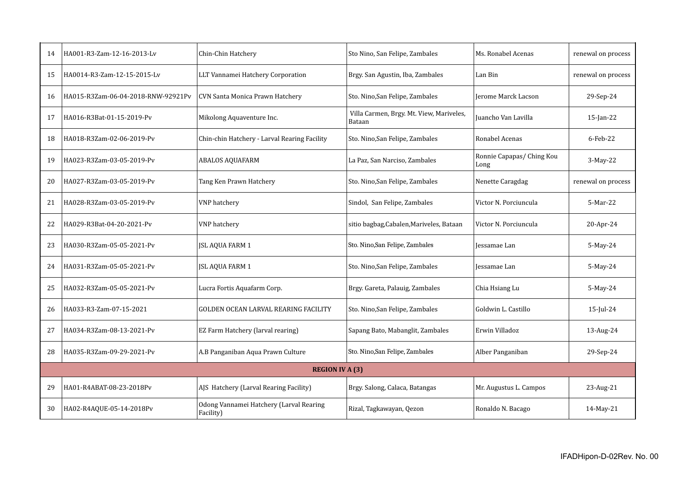| 14                     | HA001-R3-Zam-12-16-2013-Lv         | Chin-Chin Hatchery                                   | Sto Nino, San Felipe, Zambales                     | Ms. Ronabel Acenas                | renewal on process |  |
|------------------------|------------------------------------|------------------------------------------------------|----------------------------------------------------|-----------------------------------|--------------------|--|
| 15                     | HA0014-R3-Zam-12-15-2015-Lv        | LLT Vannamei Hatchery Corporation                    | Brgy. San Agustin, Iba, Zambales                   | Lan Bin                           | renewal on process |  |
| 16                     | HA015-R3Zam-06-04-2018-RNW-92921Pv | CVN Santa Monica Prawn Hatchery                      | Sto. Nino, San Felipe, Zambales                    | <b>Jerome Marck Lacson</b>        | 29-Sep-24          |  |
| 17                     | HA016-R3Bat-01-15-2019-Pv          | Mikolong Aquaventure Inc.                            | Villa Carmen, Brgy. Mt. View, Mariveles,<br>Bataan | Juancho Van Lavilla               | $15$ -Jan-22       |  |
| 18                     | HA018-R3Zam-02-06-2019-Pv          | Chin-chin Hatchery - Larval Rearing Facility         | Sto. Nino, San Felipe, Zambales                    | Ronabel Acenas                    | 6-Feb-22           |  |
| 19                     | HA023-R3Zam-03-05-2019-Pv          | <b>ABALOS AQUAFARM</b>                               | La Paz, San Narciso, Zambales                      | Ronnie Capapas/ Ching Kou<br>Long | 3-May-22           |  |
| 20                     | HA027-R3Zam-03-05-2019-Pv          | Tang Ken Prawn Hatchery                              | Sto. Nino, San Felipe, Zambales                    | Nenette Caragdag                  | renewal on process |  |
| 21                     | HA028-R3Zam-03-05-2019-Pv          | <b>VNP</b> hatchery                                  | Sindol, San Felipe, Zambales                       | Victor N. Porciuncula             | 5-Mar-22           |  |
| 22                     | HA029-R3Bat-04-20-2021-Pv          | <b>VNP</b> hatchery                                  | sitio bagbag, Cabalen, Mariveles, Bataan           | Victor N. Porciuncula             | 20-Apr-24          |  |
| 23                     | HA030-R3Zam-05-05-2021-Pv          | <b>JSL AQUA FARM 1</b>                               | Sto. Nino, San Felipe, Zambales                    | Jessamae Lan                      | 5-May-24           |  |
| 24                     | HA031-R3Zam-05-05-2021-Pv          | <b>JSL AQUA FARM 1</b>                               | Sto. Nino, San Felipe, Zambales                    | Jessamae Lan                      | 5-May-24           |  |
| 25                     | HA032-R3Zam-05-05-2021-Pv          | Lucra Fortis Aquafarm Corp.                          | Brgy. Gareta, Palauig, Zambales                    | Chia Hsiang Lu                    | 5-May-24           |  |
| 26                     | HA033-R3-Zam-07-15-2021            | <b>GOLDEN OCEAN LARVAL REARING FACILITY</b>          | Sto. Nino, San Felipe, Zambales                    | Goldwin L. Castillo               | $15$ -Jul-24       |  |
| 27                     | HA034-R3Zam-08-13-2021-Pv          | EZ Farm Hatchery (larval rearing)                    | Sapang Bato, Mabanglit, Zambales                   | Erwin Villadoz                    | 13-Aug-24          |  |
| 28                     | HA035-R3Zam-09-29-2021-Pv          | A.B Panganiban Aqua Prawn Culture                    | Sto. Nino,San Felipe, Zambales                     | Alber Panganiban                  | 29-Sep-24          |  |
| <b>REGION IV A (3)</b> |                                    |                                                      |                                                    |                                   |                    |  |
| 29                     | HA01-R4ABAT-08-23-2018Pv           | AJS Hatchery (Larval Rearing Facility)               | Brgy. Salong, Calaca, Batangas                     | Mr. Augustus L. Campos            | 23-Aug-21          |  |
| 30                     | HA02-R4AQUE-05-14-2018Pv           | Odong Vannamei Hatchery (Larval Rearing<br>Facility) | Rizal, Tagkawayan, Qezon                           | Ronaldo N. Bacago                 | 14-May-21          |  |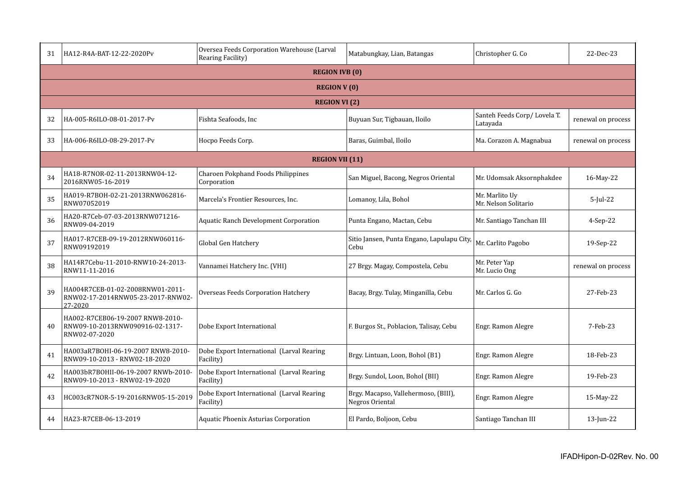| 31                     | HA12-R4A-BAT-12-22-2020Pv                                                            | Oversea Feeds Corporation Warehouse (Larval<br>Rearing Facility) | Matabungkay, Lian, Batangas                             | Christopher G. Co                       | 22-Dec-23          |  |  |
|------------------------|--------------------------------------------------------------------------------------|------------------------------------------------------------------|---------------------------------------------------------|-----------------------------------------|--------------------|--|--|
|                        | <b>REGION IVB (0)</b>                                                                |                                                                  |                                                         |                                         |                    |  |  |
| <b>REGION V (0)</b>    |                                                                                      |                                                                  |                                                         |                                         |                    |  |  |
| <b>REGION VI</b> (2)   |                                                                                      |                                                                  |                                                         |                                         |                    |  |  |
| 32                     | HA-005-R6ILO-08-01-2017-Pv                                                           | Fishta Seafoods, Inc                                             | Buyuan Sur, Tigbauan, Iloilo                            | Santeh Feeds Corp/Lovela T.<br>Latayada | renewal on process |  |  |
| 33                     | HA-006-R6ILO-08-29-2017-Pv                                                           | Hocpo Feeds Corp.                                                | Baras, Guimbal, Iloilo                                  | Ma. Corazon A. Magnabua                 | renewal on process |  |  |
| <b>REGION VII (11)</b> |                                                                                      |                                                                  |                                                         |                                         |                    |  |  |
| 34                     | HA18-R7NOR-02-11-2013RNW04-12-<br>2016RNW05-16-2019                                  | Charoen Pokphand Foods Philippines<br>Corporation                | San Miguel, Bacong, Negros Oriental                     | Mr. Udomsak Aksornphakdee               | 16-May-22          |  |  |
| 35                     | HA019-R7BOH-02-21-2013RNW062816-<br>RNW07052019                                      | Marcela's Frontier Resources, Inc.                               | Lomanoy, Lila, Bohol                                    | Mr. Marlito Uy<br>Mr. Nelson Solitario  | $5$ -Jul-22        |  |  |
| 36                     | HA20-R7Ceb-07-03-2013RNW071216-<br>RNW09-04-2019                                     | <b>Aquatic Ranch Development Corporation</b>                     | Punta Engano, Mactan, Cebu                              | Mr. Santiago Tanchan III                | 4-Sep-22           |  |  |
| 37                     | HA017-R7CEB-09-19-2012RNW060116-<br>RNW09192019                                      | Global Gen Hatchery                                              | Sitio Jansen, Punta Engano, Lapulapu City,<br>Cebu      | Mr. Carlito Pagobo                      | 19-Sep-22          |  |  |
| 38                     | HA14R7Cebu-11-2010-RNW10-24-2013-<br>RNW11-11-2016                                   | Vannamei Hatchery Inc. (VHI)                                     | 27 Brgy. Magay, Compostela, Cebu                        | Mr. Peter Yap<br>Mr. Lucio Ong          | renewal on process |  |  |
| 39                     | HA004R7CEB-01-02-2008RNW01-2011-<br>RNW02-17-2014RNW05-23-2017-RNW02-<br>27-2020     | Overseas Feeds Corporation Hatchery                              | Bacay, Brgy. Tulay, Minganilla, Cebu                    | Mr. Carlos G. Go                        | 27-Feb-23          |  |  |
| 40                     | HA002-R7CEB06-19-2007 RNW8-2010-<br>RNW09-10-2013RNW090916-02-1317-<br>RNW02-07-2020 | Dobe Export International                                        | F. Burgos St., Poblacion, Talisay, Cebu                 | Engr. Ramon Alegre                      | 7-Feb-23           |  |  |
| 41                     | HA003aR7B0HI-06-19-2007 RNW8-2010-<br>RNW09-10-2013 - RNW02-18-2020                  | Dobe Export International (Larval Rearing<br>Facility)           | Brgy. Lintuan, Loon, Bohol (B1)                         | Engr. Ramon Alegre                      | 18-Feb-23          |  |  |
| 42                     | HA003bR7BOHII-06-19-2007 RNWb-2010-<br>RNW09-10-2013 - RNW02-19-2020                 | Dobe Export International (Larval Rearing<br>Facility)           | Brgy. Sundol, Loon, Bohol (BII)                         | Engr. Ramon Alegre                      | 19-Feb-23          |  |  |
| 43                     | HC003cR7NOR-5-19-2016RNW05-15-2019                                                   | Dobe Export International (Larval Rearing<br>Facility)           | Brgy. Macapso, Vallehermoso, (BIII),<br>Negros Oriental | Engr. Ramon Alegre                      | 15-May-22          |  |  |
| 44                     | HA23-R7CEB-06-13-2019                                                                | Aquatic Phoenix Asturias Corporation                             | El Pardo, Boljoon, Cebu                                 | Santiago Tanchan III                    | $13$ -Jun-22       |  |  |